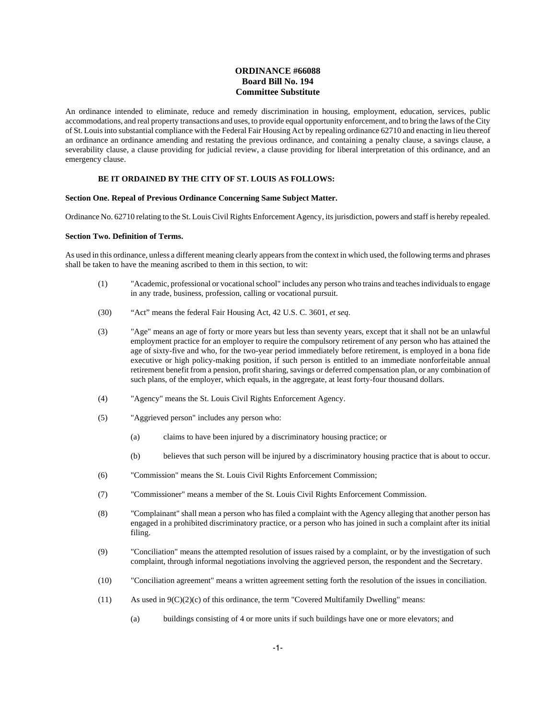# **ORDINANCE #66088 Board Bill No. 194 Committee Substitute**

An ordinance intended to eliminate, reduce and remedy discrimination in housing, employment, education, services, public accommodations, and real property transactions and uses, to provide equal opportunity enforcement, and to bring the laws of the City of St. Louis into substantial compliance with the Federal Fair Housing Act by repealing ordinance 62710 and enacting in lieu thereof an ordinance an ordinance amending and restating the previous ordinance, and containing a penalty clause, a savings clause, a severability clause, a clause providing for judicial review, a clause providing for liberal interpretation of this ordinance, and an emergency clause.

## **BE IT ORDAINED BY THE CITY OF ST. LOUIS AS FOLLOWS:**

#### **Section One. Repeal of Previous Ordinance Concerning Same Subject Matter.**

Ordinance No. 62710 relating to the St. Louis Civil Rights Enforcement Agency, its jurisdiction, powers and staff is hereby repealed.

#### **Section Two. Definition of Terms.**

As used in this ordinance, unless a different meaning clearly appears from the context in which used, the following terms and phrases shall be taken to have the meaning ascribed to them in this section, to wit:

- (1) "Academic, professional or vocational school" includes any person who trains and teaches individuals to engage in any trade, business, profession, calling or vocational pursuit.
- (30) "Act" means the federal Fair Housing Act, 42 U.S. C. 3601, *et seq.*
- (3) "Age" means an age of forty or more years but less than seventy years, except that it shall not be an unlawful employment practice for an employer to require the compulsory retirement of any person who has attained the age of sixty-five and who, for the two-year period immediately before retirement, is employed in a bona fide executive or high policy-making position, if such person is entitled to an immediate nonforfeitable annual retirement benefit from a pension, profit sharing, savings or deferred compensation plan, or any combination of such plans, of the employer, which equals, in the aggregate, at least forty-four thousand dollars.
- (4) "Agency" means the St. Louis Civil Rights Enforcement Agency.
- (5) "Aggrieved person" includes any person who:
	- (a) claims to have been injured by a discriminatory housing practice; or
	- (b) believes that such person will be injured by a discriminatory housing practice that is about to occur.
- (6) "Commission" means the St. Louis Civil Rights Enforcement Commission;
- (7) "Commissioner" means a member of the St. Louis Civil Rights Enforcement Commission.
- (8) "Complainant" shall mean a person who has filed a complaint with the Agency alleging that another person has engaged in a prohibited discriminatory practice, or a person who has joined in such a complaint after its initial filing.
- (9) "Conciliation" means the attempted resolution of issues raised by a complaint, or by the investigation of such complaint, through informal negotiations involving the aggrieved person, the respondent and the Secretary.
- (10) "Conciliation agreement" means a written agreement setting forth the resolution of the issues in conciliation.
- $(11)$  As used in  $9(C)(2)(c)$  of this ordinance, the term "Covered Multifamily Dwelling" means:
	- (a) buildings consisting of 4 or more units if such buildings have one or more elevators; and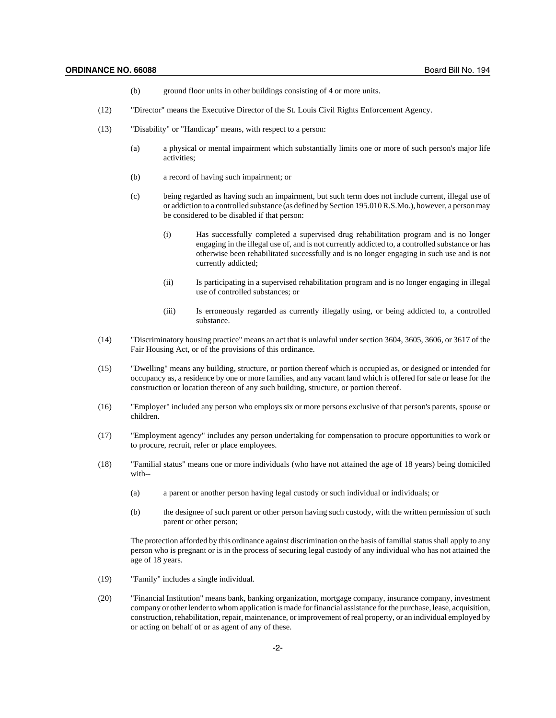- (b) ground floor units in other buildings consisting of 4 or more units.
- (12) "Director" means the Executive Director of the St. Louis Civil Rights Enforcement Agency.
- (13) "Disability" or "Handicap" means, with respect to a person:
	- (a) a physical or mental impairment which substantially limits one or more of such person's major life activities;
	- (b) a record of having such impairment; or
	- (c) being regarded as having such an impairment, but such term does not include current, illegal use of or addiction to a controlled substance (as defined by Section 195.010 R.S.Mo.), however, a person may be considered to be disabled if that person:
		- (i) Has successfully completed a supervised drug rehabilitation program and is no longer engaging in the illegal use of, and is not currently addicted to, a controlled substance or has otherwise been rehabilitated successfully and is no longer engaging in such use and is not currently addicted;
		- (ii) Is participating in a supervised rehabilitation program and is no longer engaging in illegal use of controlled substances; or
		- (iii) Is erroneously regarded as currently illegally using, or being addicted to, a controlled substance.
- (14) "Discriminatory housing practice" means an act that is unlawful under section 3604, 3605, 3606, or 3617 of the Fair Housing Act, or of the provisions of this ordinance.
- (15) "Dwelling" means any building, structure, or portion thereof which is occupied as, or designed or intended for occupancy as, a residence by one or more families, and any vacant land which is offered for sale or lease for the construction or location thereon of any such building, structure, or portion thereof.
- (16) "Employer" included any person who employs six or more persons exclusive of that person's parents, spouse or children.
- (17) "Employment agency" includes any person undertaking for compensation to procure opportunities to work or to procure, recruit, refer or place employees.
- (18) "Familial status" means one or more individuals (who have not attained the age of 18 years) being domiciled with--
	- (a) a parent or another person having legal custody or such individual or individuals; or
	- (b) the designee of such parent or other person having such custody, with the written permission of such parent or other person;

The protection afforded by this ordinance against discrimination on the basis of familial status shall apply to any person who is pregnant or is in the process of securing legal custody of any individual who has not attained the age of 18 years.

- (19) "Family" includes a single individual.
- (20) "Financial Institution" means bank, banking organization, mortgage company, insurance company, investment company or other lender to whom application is made for financial assistance for the purchase, lease, acquisition, construction, rehabilitation, repair, maintenance, or improvement of real property, or an individual employed by or acting on behalf of or as agent of any of these.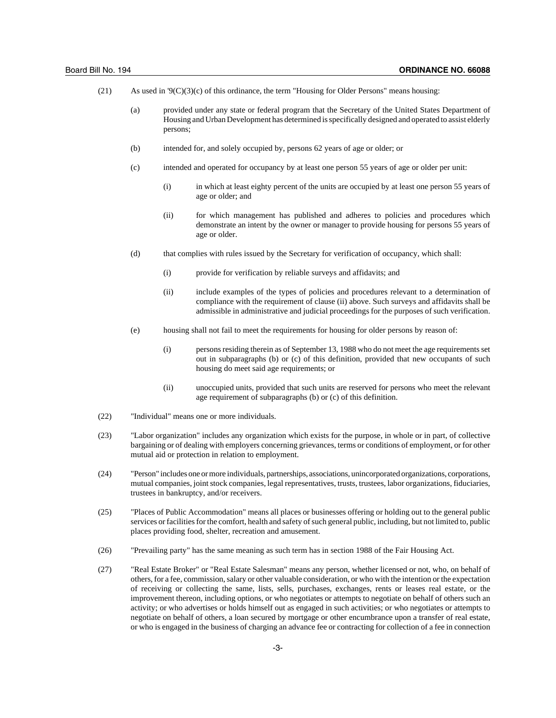| (21) | As used in $\mathcal{P}(C)(3)(c)$ of this ordinance, the term "Housing for Older Persons" means housing: |  |  |
|------|----------------------------------------------------------------------------------------------------------|--|--|
|      |                                                                                                          |  |  |

- (a) provided under any state or federal program that the Secretary of the United States Department of Housing and Urban Development has determined is specifically designed and operated to assist elderly persons;
- (b) intended for, and solely occupied by, persons 62 years of age or older; or
- (c) intended and operated for occupancy by at least one person 55 years of age or older per unit:
	- (i) in which at least eighty percent of the units are occupied by at least one person 55 years of age or older; and
	- (ii) for which management has published and adheres to policies and procedures which demonstrate an intent by the owner or manager to provide housing for persons 55 years of age or older.
- (d) that complies with rules issued by the Secretary for verification of occupancy, which shall:
	- (i) provide for verification by reliable surveys and affidavits; and
	- (ii) include examples of the types of policies and procedures relevant to a determination of compliance with the requirement of clause (ii) above. Such surveys and affidavits shall be admissible in administrative and judicial proceedings for the purposes of such verification.
- (e) housing shall not fail to meet the requirements for housing for older persons by reason of:
	- (i) persons residing therein as of September 13, 1988 who do not meet the age requirements set out in subparagraphs (b) or (c) of this definition, provided that new occupants of such housing do meet said age requirements; or
	- (ii) unoccupied units, provided that such units are reserved for persons who meet the relevant age requirement of subparagraphs (b) or (c) of this definition.
- (22) "Individual" means one or more individuals.
- (23) "Labor organization" includes any organization which exists for the purpose, in whole or in part, of collective bargaining or of dealing with employers concerning grievances, terms or conditions of employment, or for other mutual aid or protection in relation to employment.
- (24) "Person" includes one or more individuals, partnerships, associations, unincorporated organizations, corporations, mutual companies, joint stock companies, legal representatives, trusts, trustees, labor organizations, fiduciaries, trustees in bankruptcy, and/or receivers.
- (25) "Places of Public Accommodation" means all places or businesses offering or holding out to the general public services or facilities for the comfort, health and safety of such general public, including, but not limited to, public places providing food, shelter, recreation and amusement.
- (26) "Prevailing party" has the same meaning as such term has in section 1988 of the Fair Housing Act.
- (27) "Real Estate Broker" or "Real Estate Salesman" means any person, whether licensed or not, who, on behalf of others, for a fee, commission, salary or other valuable consideration, or who with the intention or the expectation of receiving or collecting the same, lists, sells, purchases, exchanges, rents or leases real estate, or the improvement thereon, including options, or who negotiates or attempts to negotiate on behalf of others such an activity; or who advertises or holds himself out as engaged in such activities; or who negotiates or attempts to negotiate on behalf of others, a loan secured by mortgage or other encumbrance upon a transfer of real estate, or who is engaged in the business of charging an advance fee or contracting for collection of a fee in connection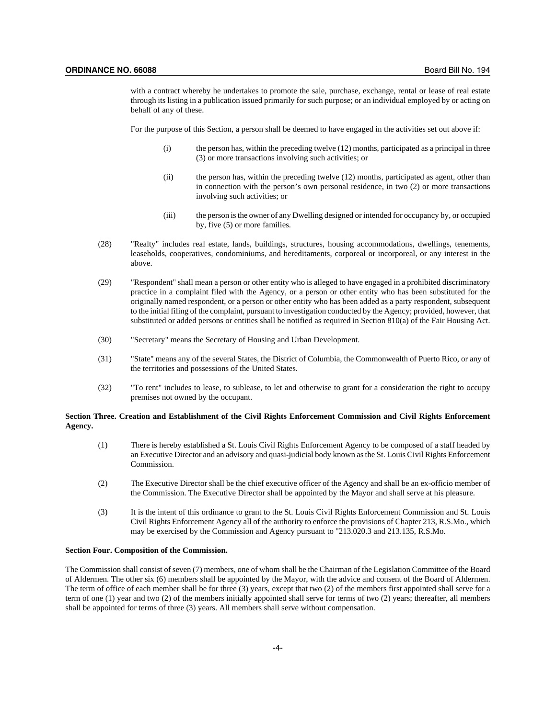with a contract whereby he undertakes to promote the sale, purchase, exchange, rental or lease of real estate through its listing in a publication issued primarily for such purpose; or an individual employed by or acting on behalf of any of these.

For the purpose of this Section, a person shall be deemed to have engaged in the activities set out above if:

- (i) the person has, within the preceding twelve (12) months, participated as a principal in three (3) or more transactions involving such activities; or
- (ii) the person has, within the preceding twelve (12) months, participated as agent, other than in connection with the person's own personal residence, in two (2) or more transactions involving such activities; or
- (iii) the person is the owner of any Dwelling designed or intended for occupancy by, or occupied by, five (5) or more families.
- (28) "Realty" includes real estate, lands, buildings, structures, housing accommodations, dwellings, tenements, leaseholds, cooperatives, condominiums, and hereditaments, corporeal or incorporeal, or any interest in the above.
- (29) "Respondent" shall mean a person or other entity who is alleged to have engaged in a prohibited discriminatory practice in a complaint filed with the Agency, or a person or other entity who has been substituted for the originally named respondent, or a person or other entity who has been added as a party respondent, subsequent to the initial filing of the complaint, pursuant to investigation conducted by the Agency; provided, however, that substituted or added persons or entities shall be notified as required in Section 810(a) of the Fair Housing Act.
- (30) "Secretary" means the Secretary of Housing and Urban Development.
- (31) "State" means any of the several States, the District of Columbia, the Commonwealth of Puerto Rico, or any of the territories and possessions of the United States.
- (32) "To rent" includes to lease, to sublease, to let and otherwise to grant for a consideration the right to occupy premises not owned by the occupant.

### **Section Three. Creation and Establishment of the Civil Rights Enforcement Commission and Civil Rights Enforcement Agency.**

- (1) There is hereby established a St. Louis Civil Rights Enforcement Agency to be composed of a staff headed by an Executive Director and an advisory and quasi-judicial body known as the St. Louis Civil Rights Enforcement Commission.
- (2) The Executive Director shall be the chief executive officer of the Agency and shall be an ex-officio member of the Commission. The Executive Director shall be appointed by the Mayor and shall serve at his pleasure.
- (3) It is the intent of this ordinance to grant to the St. Louis Civil Rights Enforcement Commission and St. Louis Civil Rights Enforcement Agency all of the authority to enforce the provisions of Chapter 213, R.S.Mo., which may be exercised by the Commission and Agency pursuant to  $"213.020.3$  and  $213.135$ , R.S.Mo.

#### **Section Four. Composition of the Commission.**

The Commission shall consist of seven (7) members, one of whom shall be the Chairman of the Legislation Committee of the Board of Aldermen. The other six (6) members shall be appointed by the Mayor, with the advice and consent of the Board of Aldermen. The term of office of each member shall be for three (3) years, except that two (2) of the members first appointed shall serve for a term of one (1) year and two (2) of the members initially appointed shall serve for terms of two (2) years; thereafter, all members shall be appointed for terms of three (3) years. All members shall serve without compensation.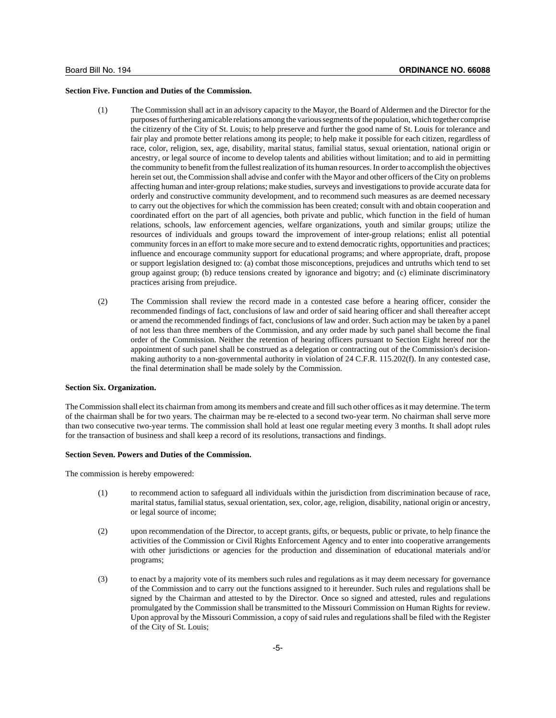#### **Section Five. Function and Duties of the Commission.**

- (1) The Commission shall act in an advisory capacity to the Mayor, the Board of Aldermen and the Director for the purposes of furthering amicable relations among the various segments of the population, which together comprise the citizenry of the City of St. Louis; to help preserve and further the good name of St. Louis for tolerance and fair play and promote better relations among its people; to help make it possible for each citizen, regardless of race, color, religion, sex, age, disability, marital status, familial status, sexual orientation, national origin or ancestry, or legal source of income to develop talents and abilities without limitation; and to aid in permitting the community to benefit from the fullest realization of its human resources. In order to accomplish the objectives herein set out, the Commission shall advise and confer with the Mayor and other officers of the City on problems affecting human and inter-group relations; make studies, surveys and investigations to provide accurate data for orderly and constructive community development, and to recommend such measures as are deemed necessary to carry out the objectives for which the commission has been created; consult with and obtain cooperation and coordinated effort on the part of all agencies, both private and public, which function in the field of human relations, schools, law enforcement agencies, welfare organizations, youth and similar groups; utilize the resources of individuals and groups toward the improvement of inter-group relations; enlist all potential community forces in an effort to make more secure and to extend democratic rights, opportunities and practices; influence and encourage community support for educational programs; and where appropriate, draft, propose or support legislation designed to: (a) combat those misconceptions, prejudices and untruths which tend to set group against group; (b) reduce tensions created by ignorance and bigotry; and (c) eliminate discriminatory practices arising from prejudice.
- (2) The Commission shall review the record made in a contested case before a hearing officer, consider the recommended findings of fact, conclusions of law and order of said hearing officer and shall thereafter accept or amend the recommended findings of fact, conclusions of law and order. Such action may be taken by a panel of not less than three members of the Commission, and any order made by such panel shall become the final order of the Commission. Neither the retention of hearing officers pursuant to Section Eight hereof nor the appointment of such panel shall be construed as a delegation or contracting out of the Commission's decisionmaking authority to a non-governmental authority in violation of 24 C.F.R. 115.202(f). In any contested case, the final determination shall be made solely by the Commission.

### **Section Six. Organization.**

The Commission shall elect its chairman from among its members and create and fill such other offices as it may determine. The term of the chairman shall be for two years. The chairman may be re-elected to a second two-year term. No chairman shall serve more than two consecutive two-year terms. The commission shall hold at least one regular meeting every 3 months. It shall adopt rules for the transaction of business and shall keep a record of its resolutions, transactions and findings.

#### **Section Seven. Powers and Duties of the Commission.**

The commission is hereby empowered:

- (1) to recommend action to safeguard all individuals within the jurisdiction from discrimination because of race, marital status, familial status, sexual orientation, sex, color, age, religion, disability, national origin or ancestry, or legal source of income;
- (2) upon recommendation of the Director, to accept grants, gifts, or bequests, public or private, to help finance the activities of the Commission or Civil Rights Enforcement Agency and to enter into cooperative arrangements with other jurisdictions or agencies for the production and dissemination of educational materials and/or programs;
- (3) to enact by a majority vote of its members such rules and regulations as it may deem necessary for governance of the Commission and to carry out the functions assigned to it hereunder. Such rules and regulations shall be signed by the Chairman and attested to by the Director. Once so signed and attested, rules and regulations promulgated by the Commission shall be transmitted to the Missouri Commission on Human Rights for review. Upon approval by the Missouri Commission, a copy of said rules and regulations shall be filed with the Register of the City of St. Louis;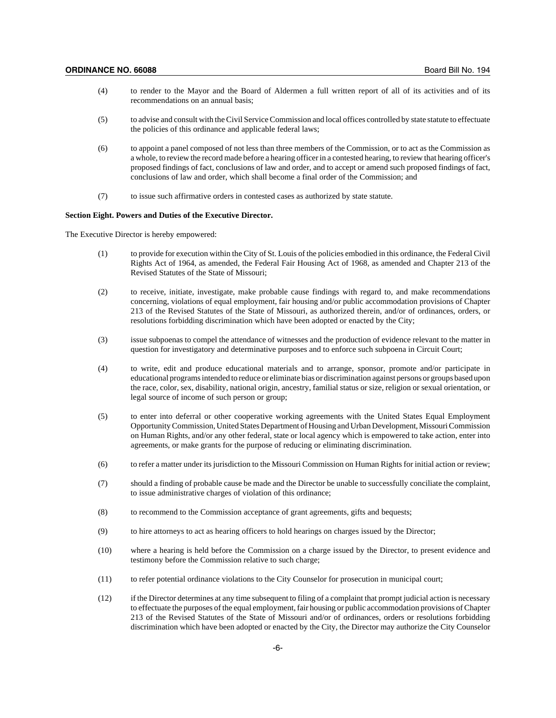- (4) to render to the Mayor and the Board of Aldermen a full written report of all of its activities and of its recommendations on an annual basis;
- (5) to advise and consult with the Civil Service Commission and local offices controlled by state statute to effectuate the policies of this ordinance and applicable federal laws;
- (6) to appoint a panel composed of not less than three members of the Commission, or to act as the Commission as a whole, to review the record made before a hearing officer in a contested hearing, to review that hearing officer's proposed findings of fact, conclusions of law and order, and to accept or amend such proposed findings of fact, conclusions of law and order, which shall become a final order of the Commission; and
- (7) to issue such affirmative orders in contested cases as authorized by state statute.

### **Section Eight. Powers and Duties of the Executive Director.**

The Executive Director is hereby empowered:

- (1) to provide for execution within the City of St. Louis of the policies embodied in this ordinance, the Federal Civil Rights Act of 1964, as amended, the Federal Fair Housing Act of 1968, as amended and Chapter 213 of the Revised Statutes of the State of Missouri;
- (2) to receive, initiate, investigate, make probable cause findings with regard to, and make recommendations concerning, violations of equal employment, fair housing and/or public accommodation provisions of Chapter 213 of the Revised Statutes of the State of Missouri, as authorized therein, and/or of ordinances, orders, or resolutions forbidding discrimination which have been adopted or enacted by the City;
- (3) issue subpoenas to compel the attendance of witnesses and the production of evidence relevant to the matter in question for investigatory and determinative purposes and to enforce such subpoena in Circuit Court;
- (4) to write, edit and produce educational materials and to arrange, sponsor, promote and/or participate in educational programs intended to reduce or eliminate bias or discrimination against persons or groups based upon the race, color, sex, disability, national origin, ancestry, familial status or size, religion or sexual orientation, or legal source of income of such person or group;
- (5) to enter into deferral or other cooperative working agreements with the United States Equal Employment Opportunity Commission, United States Department of Housing and Urban Development, Missouri Commission on Human Rights, and/or any other federal, state or local agency which is empowered to take action, enter into agreements, or make grants for the purpose of reducing or eliminating discrimination.
- (6) to refer a matter under its jurisdiction to the Missouri Commission on Human Rights for initial action or review;
- (7) should a finding of probable cause be made and the Director be unable to successfully conciliate the complaint, to issue administrative charges of violation of this ordinance;
- (8) to recommend to the Commission acceptance of grant agreements, gifts and bequests;
- (9) to hire attorneys to act as hearing officers to hold hearings on charges issued by the Director;
- (10) where a hearing is held before the Commission on a charge issued by the Director, to present evidence and testimony before the Commission relative to such charge;
- (11) to refer potential ordinance violations to the City Counselor for prosecution in municipal court;
- (12) if the Director determines at any time subsequent to filing of a complaint that prompt judicial action is necessary to effectuate the purposes of the equal employment, fair housing or public accommodation provisions of Chapter 213 of the Revised Statutes of the State of Missouri and/or of ordinances, orders or resolutions forbidding discrimination which have been adopted or enacted by the City, the Director may authorize the City Counselor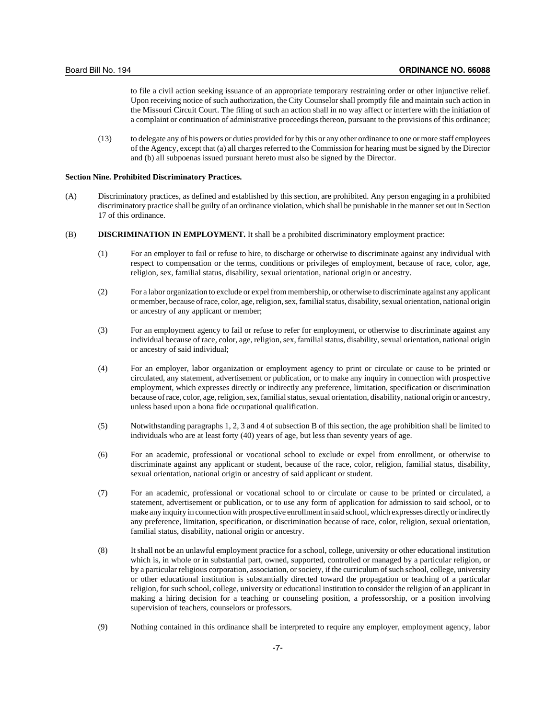to file a civil action seeking issuance of an appropriate temporary restraining order or other injunctive relief. Upon receiving notice of such authorization, the City Counselor shall promptly file and maintain such action in the Missouri Circuit Court. The filing of such an action shall in no way affect or interfere with the initiation of a complaint or continuation of administrative proceedings thereon, pursuant to the provisions of this ordinance;

(13) to delegate any of his powers or duties provided for by this or any other ordinance to one or more staff employees of the Agency, except that (a) all charges referred to the Commission for hearing must be signed by the Director and (b) all subpoenas issued pursuant hereto must also be signed by the Director.

#### **Section Nine. Prohibited Discriminatory Practices.**

- (A) Discriminatory practices, as defined and established by this section, are prohibited. Any person engaging in a prohibited discriminatory practice shall be guilty of an ordinance violation, which shall be punishable in the manner set out in Section 17 of this ordinance.
- (B) **DISCRIMINATION IN EMPLOYMENT.** It shall be a prohibited discriminatory employment practice:
	- (1) For an employer to fail or refuse to hire, to discharge or otherwise to discriminate against any individual with respect to compensation or the terms, conditions or privileges of employment, because of race, color, age, religion, sex, familial status, disability, sexual orientation, national origin or ancestry.
	- (2) For a labor organization to exclude or expel from membership, or otherwise to discriminate against any applicant or member, because of race, color, age, religion, sex, familial status, disability, sexual orientation, national origin or ancestry of any applicant or member;
	- (3) For an employment agency to fail or refuse to refer for employment, or otherwise to discriminate against any individual because of race, color, age, religion, sex, familial status, disability, sexual orientation, national origin or ancestry of said individual;
	- (4) For an employer, labor organization or employment agency to print or circulate or cause to be printed or circulated, any statement, advertisement or publication, or to make any inquiry in connection with prospective employment, which expresses directly or indirectly any preference, limitation, specification or discrimination because of race, color, age, religion, sex, familial status, sexual orientation, disability, national origin or ancestry, unless based upon a bona fide occupational qualification.
	- (5) Notwithstanding paragraphs 1, 2, 3 and 4 of subsection B of this section, the age prohibition shall be limited to individuals who are at least forty (40) years of age, but less than seventy years of age.
	- (6) For an academic, professional or vocational school to exclude or expel from enrollment, or otherwise to discriminate against any applicant or student, because of the race, color, religion, familial status, disability, sexual orientation, national origin or ancestry of said applicant or student.
	- (7) For an academic, professional or vocational school to or circulate or cause to be printed or circulated, a statement, advertisement or publication, or to use any form of application for admission to said school, or to make any inquiry in connection with prospective enrollment in said school, which expresses directly or indirectly any preference, limitation, specification, or discrimination because of race, color, religion, sexual orientation, familial status, disability, national origin or ancestry.
	- (8) It shall not be an unlawful employment practice for a school, college, university or other educational institution which is, in whole or in substantial part, owned, supported, controlled or managed by a particular religion, or by a particular religious corporation, association, or society, if the curriculum of such school, college, university or other educational institution is substantially directed toward the propagation or teaching of a particular religion, for such school, college, university or educational institution to consider the religion of an applicant in making a hiring decision for a teaching or counseling position, a professorship, or a position involving supervision of teachers, counselors or professors.
	- (9) Nothing contained in this ordinance shall be interpreted to require any employer, employment agency, labor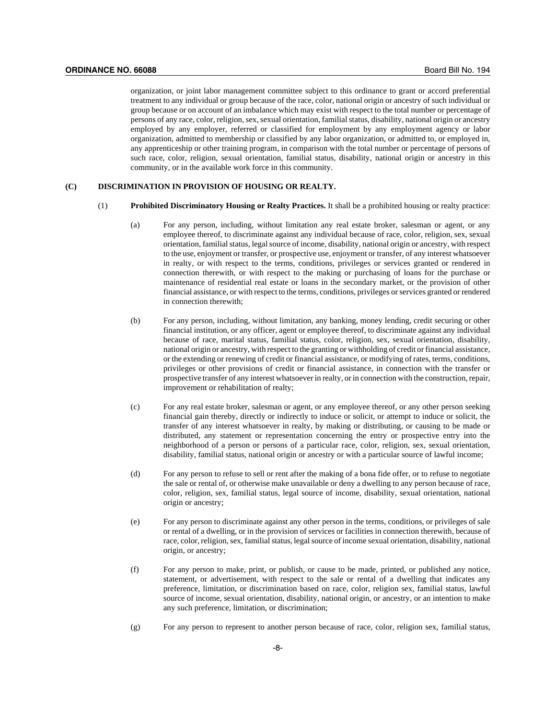organization, or joint labor management committee subject to this ordinance to grant or accord preferential treatment to any individual or group because of the race, color, national origin or ancestry of such individual or group because or on account of an imbalance which may exist with respect to the total number or percentage of persons of any race, color, religion, sex, sexual orientation, familial status, disability, national origin or ancestry employed by any employer, referred or classified for employment by any employment agency or labor organization, admitted to membership or classified by any labor organization, or admitted to, or employed in, any apprenticeship or other training program, in comparison with the total number or percentage of persons of such race, color, religion, sexual orientation, familial status, disability, national origin or ancestry in this community, or in the available work force in this community.

#### **(C) DISCRIMINATION IN PROVISION OF HOUSING OR REALTY.**

- (1) **Prohibited Discriminatory Housing or Realty Practices.** It shall be a prohibited housing or realty practice:
	- (a) For any person, including, without limitation any real estate broker, salesman or agent, or any employee thereof, to discriminate against any individual because of race, color, religion, sex, sexual orientation, familial status, legal source of income, disability, national origin or ancestry, with respect to the use, enjoyment or transfer, or prospective use, enjoyment or transfer, of any interest whatsoever in realty, or with respect to the terms, conditions, privileges or services granted or rendered in connection therewith, or with respect to the making or purchasing of loans for the purchase or maintenance of residential real estate or loans in the secondary market, or the provision of other financial assistance, or with respect to the terms, conditions, privileges or services granted or rendered in connection therewith;
	- (b) For any person, including, without limitation, any banking, money lending, credit securing or other financial institution, or any officer, agent or employee thereof, to discriminate against any individual because of race, marital status, familial status, color, religion, sex, sexual orientation, disability, national origin or ancestry, with respect to the granting or withholding of credit or financial assistance, or the extending or renewing of credit or financial assistance, or modifying of rates, terms, conditions, privileges or other provisions of credit or financial assistance, in connection with the transfer or prospective transfer of any interest whatsoever in realty, or in connection with the construction, repair, improvement or rehabilitation of realty;
	- (c) For any real estate broker, salesman or agent, or any employee thereof, or any other person seeking financial gain thereby, directly or indirectly to induce or solicit, or attempt to induce or solicit, the transfer of any interest whatsoever in realty, by making or distributing, or causing to be made or distributed, any statement or representation concerning the entry or prospective entry into the neighborhood of a person or persons of a particular race, color, religion, sex, sexual orientation, disability, familial status, national origin or ancestry or with a particular source of lawful income;
	- (d) For any person to refuse to sell or rent after the making of a bona fide offer, or to refuse to negotiate the sale or rental of, or otherwise make unavailable or deny a dwelling to any person because of race, color, religion, sex, familial status, legal source of income, disability, sexual orientation, national origin or ancestry;
	- (e) For any person to discriminate against any other person in the terms, conditions, or privileges of sale or rental of a dwelling, or in the provision of services or facilities in connection therewith, because of race, color, religion, sex, familial status, legal source of income sexual orientation, disability, national origin, or ancestry;
	- (f) For any person to make, print, or publish, or cause to be made, printed, or published any notice, statement, or advertisement, with respect to the sale or rental of a dwelling that indicates any preference, limitation, or discrimination based on race, color, religion sex, familial status, lawful source of income, sexual orientation, disability, national origin, or ancestry, or an intention to make any such preference, limitation, or discrimination;
	- (g) For any person to represent to another person because of race, color, religion sex, familial status,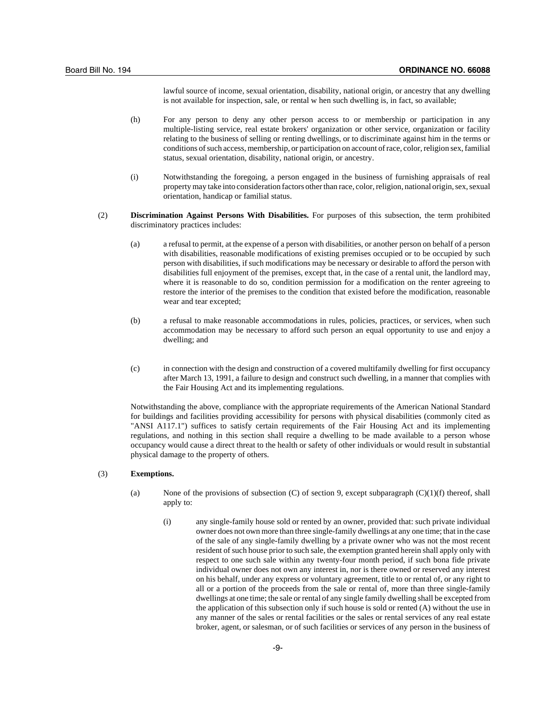lawful source of income, sexual orientation, disability, national origin, or ancestry that any dwelling is not available for inspection, sale, or rental w hen such dwelling is, in fact, so available;

- (h) For any person to deny any other person access to or membership or participation in any multiple-listing service, real estate brokers' organization or other service, organization or facility relating to the business of selling or renting dwellings, or to discriminate against him in the terms or conditions of such access, membership, or participation on account of race, color, religion sex, familial status, sexual orientation, disability, national origin, or ancestry.
- (i) Notwithstanding the foregoing, a person engaged in the business of furnishing appraisals of real property may take into consideration factors other than race, color, religion, national origin, sex, sexual orientation, handicap or familial status.
- (2) **Discrimination Against Persons With Disabilities.** For purposes of this subsection, the term prohibited discriminatory practices includes:
	- (a) a refusal to permit, at the expense of a person with disabilities, or another person on behalf of a person with disabilities, reasonable modifications of existing premises occupied or to be occupied by such person with disabilities, if such modifications may be necessary or desirable to afford the person with disabilities full enjoyment of the premises, except that, in the case of a rental unit, the landlord may, where it is reasonable to do so, condition permission for a modification on the renter agreeing to restore the interior of the premises to the condition that existed before the modification, reasonable wear and tear excepted;
	- (b) a refusal to make reasonable accommodations in rules, policies, practices, or services, when such accommodation may be necessary to afford such person an equal opportunity to use and enjoy a dwelling; and
	- (c) in connection with the design and construction of a covered multifamily dwelling for first occupancy after March 13, 1991, a failure to design and construct such dwelling, in a manner that complies with the Fair Housing Act and its implementing regulations.

Notwithstanding the above, compliance with the appropriate requirements of the American National Standard for buildings and facilities providing accessibility for persons with physical disabilities (commonly cited as "ANSI A117.1") suffices to satisfy certain requirements of the Fair Housing Act and its implementing regulations, and nothing in this section shall require a dwelling to be made available to a person whose occupancy would cause a direct threat to the health or safety of other individuals or would result in substantial physical damage to the property of others.

## (3) **Exemptions.**

- (a) None of the provisions of subsection (C) of section 9, except subparagraph  $(C)(1)(f)$  thereof, shall apply to:
	- (i) any single-family house sold or rented by an owner, provided that: such private individual owner does not own more than three single-family dwellings at any one time; that in the case of the sale of any single-family dwelling by a private owner who was not the most recent resident of such house prior to such sale, the exemption granted herein shall apply only with respect to one such sale within any twenty-four month period, if such bona fide private individual owner does not own any interest in, nor is there owned or reserved any interest on his behalf, under any express or voluntary agreement, title to or rental of, or any right to all or a portion of the proceeds from the sale or rental of, more than three single-family dwellings at one time; the sale or rental of any single family dwelling shall be excepted from the application of this subsection only if such house is sold or rented (A) without the use in any manner of the sales or rental facilities or the sales or rental services of any real estate broker, agent, or salesman, or of such facilities or services of any person in the business of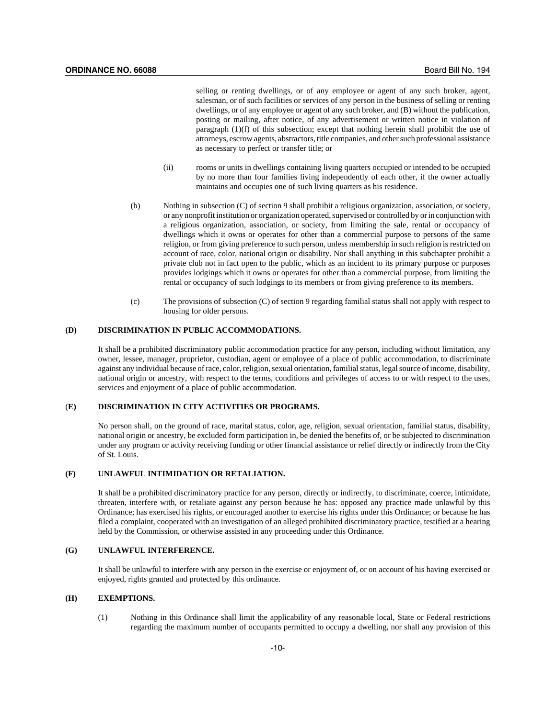selling or renting dwellings, or of any employee or agent of any such broker, agent, salesman, or of such facilities or services of any person in the business of selling or renting dwellings, or of any employee or agent of any such broker, and (B) without the publication, posting or mailing, after notice, of any advertisement or written notice in violation of paragraph  $(1)(f)$  of this subsection; except that nothing herein shall prohibit the use of attorneys, escrow agents, abstractors, title companies, and other such professional assistance as necessary to perfect or transfer title; or

- (ii) rooms or units in dwellings containing living quarters occupied or intended to be occupied by no more than four families living independently of each other, if the owner actually maintains and occupies one of such living quarters as his residence.
- (b) Nothing in subsection (C) of section 9 shall prohibit a religious organization, association, or society, or any nonprofit institution or organization operated, supervised or controlled by or in conjunction with a religious organization, association, or society, from limiting the sale, rental or occupancy of dwellings which it owns or operates for other than a commercial purpose to persons of the same religion, or from giving preference to such person, unless membership in such religion is restricted on account of race, color, national origin or disability. Nor shall anything in this subchapter prohibit a private club not in fact open to the public, which as an incident to its primary purpose or purposes provides lodgings which it owns or operates for other than a commercial purpose, from limiting the rental or occupancy of such lodgings to its members or from giving preference to its members.
- (c) The provisions of subsection (C) of section 9 regarding familial status shall not apply with respect to housing for older persons.

### **(D) DISCRIMINATION IN PUBLIC ACCOMMODATIONS.**

It shall be a prohibited discriminatory public accommodation practice for any person, including without limitation, any owner, lessee, manager, proprietor, custodian, agent or employee of a place of public accommodation, to discriminate against any individual because of race, color, religion, sexual orientation, familial status, legal source of income, disability, national origin or ancestry, with respect to the terms, conditions and privileges of access to or with respect to the uses, services and enjoyment of a place of public accommodation.

#### (**E) DISCRIMINATION IN CITY ACTIVITIES OR PROGRAMS.**

No person shall, on the ground of race, marital status, color, age, religion, sexual orientation, familial status, disability, national origin or ancestry, be excluded form participation in, be denied the benefits of, or be subjected to discrimination under any program or activity receiving funding or other financial assistance or relief directly or indirectly from the City of St. Louis.

## **(F) UNLAWFUL INTIMIDATION OR RETALIATION.**

It shall be a prohibited discriminatory practice for any person, directly or indirectly, to discriminate, coerce, intimidate, threaten, interfere with, or retaliate against any person because he has: opposed any practice made unlawful by this Ordinance; has exercised his rights, or encouraged another to exercise his rights under this Ordinance; or because he has filed a complaint, cooperated with an investigation of an alleged prohibited discriminatory practice, testified at a hearing held by the Commission, or otherwise assisted in any proceeding under this Ordinance.

## **(G) UNLAWFUL INTERFERENCE.**

It shall be unlawful to interfere with any person in the exercise or enjoyment of, or on account of his having exercised or enjoyed, rights granted and protected by this ordinance.

### **(H) EXEMPTIONS.**

(1) Nothing in this Ordinance shall limit the applicability of any reasonable local, State or Federal restrictions regarding the maximum number of occupants permitted to occupy a dwelling, nor shall any provision of this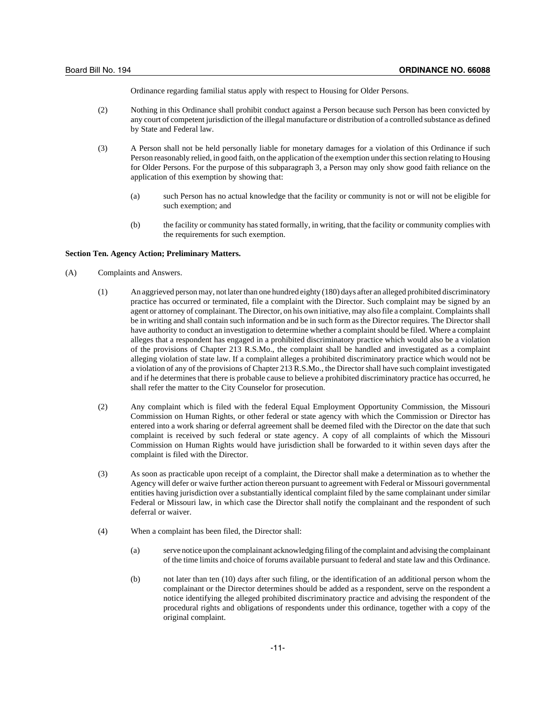Ordinance regarding familial status apply with respect to Housing for Older Persons.

- (2) Nothing in this Ordinance shall prohibit conduct against a Person because such Person has been convicted by any court of competent jurisdiction of the illegal manufacture or distribution of a controlled substance as defined by State and Federal law.
- (3) A Person shall not be held personally liable for monetary damages for a violation of this Ordinance if such Person reasonably relied, in good faith, on the application of the exemption under this section relating to Housing for Older Persons. For the purpose of this subparagraph 3, a Person may only show good faith reliance on the application of this exemption by showing that:
	- (a) such Person has no actual knowledge that the facility or community is not or will not be eligible for such exemption; and
	- (b) the facility or community has stated formally, in writing, that the facility or community complies with the requirements for such exemption.

#### **Section Ten. Agency Action; Preliminary Matters.**

- (A) Complaints and Answers.
	- (1) An aggrieved person may, not later than one hundred eighty (180) days after an alleged prohibited discriminatory practice has occurred or terminated, file a complaint with the Director. Such complaint may be signed by an agent or attorney of complainant. The Director, on his own initiative, may also file a complaint. Complaints shall be in writing and shall contain such information and be in such form as the Director requires. The Director shall have authority to conduct an investigation to determine whether a complaint should be filed. Where a complaint alleges that a respondent has engaged in a prohibited discriminatory practice which would also be a violation of the provisions of Chapter 213 R.S.Mo., the complaint shall be handled and investigated as a complaint alleging violation of state law. If a complaint alleges a prohibited discriminatory practice which would not be a violation of any of the provisions of Chapter 213 R.S.Mo., the Director shall have such complaint investigated and if he determines that there is probable cause to believe a prohibited discriminatory practice has occurred, he shall refer the matter to the City Counselor for prosecution.
	- (2) Any complaint which is filed with the federal Equal Employment Opportunity Commission, the Missouri Commission on Human Rights, or other federal or state agency with which the Commission or Director has entered into a work sharing or deferral agreement shall be deemed filed with the Director on the date that such complaint is received by such federal or state agency. A copy of all complaints of which the Missouri Commission on Human Rights would have jurisdiction shall be forwarded to it within seven days after the complaint is filed with the Director.
	- (3) As soon as practicable upon receipt of a complaint, the Director shall make a determination as to whether the Agency will defer or waive further action thereon pursuant to agreement with Federal or Missouri governmental entities having jurisdiction over a substantially identical complaint filed by the same complainant under similar Federal or Missouri law, in which case the Director shall notify the complainant and the respondent of such deferral or waiver.
	- (4) When a complaint has been filed, the Director shall:
		- (a) serve notice upon the complainant acknowledging filing of the complaint and advising the complainant of the time limits and choice of forums available pursuant to federal and state law and this Ordinance.
		- (b) not later than ten (10) days after such filing, or the identification of an additional person whom the complainant or the Director determines should be added as a respondent, serve on the respondent a notice identifying the alleged prohibited discriminatory practice and advising the respondent of the procedural rights and obligations of respondents under this ordinance, together with a copy of the original complaint.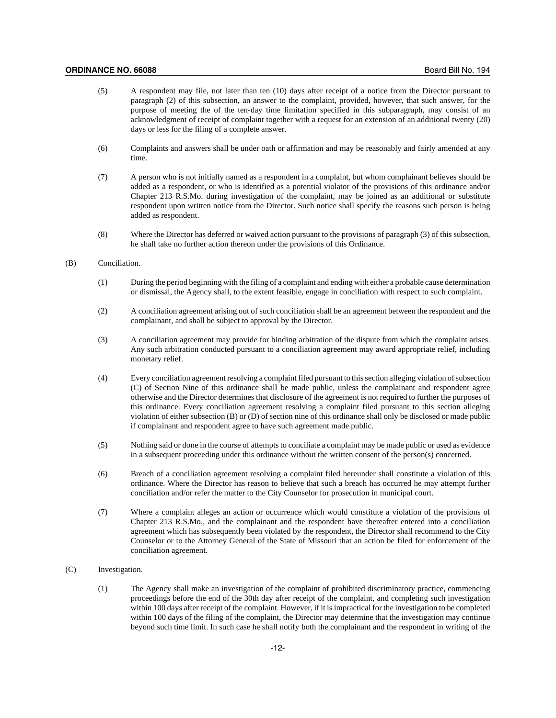#### **ORDINANCE NO. 66088** Board Bill No. 194

- (5) A respondent may file, not later than ten (10) days after receipt of a notice from the Director pursuant to paragraph (2) of this subsection, an answer to the complaint, provided, however, that such answer, for the purpose of meeting the of the ten-day time limitation specified in this subparagraph, may consist of an acknowledgment of receipt of complaint together with a request for an extension of an additional twenty (20) days or less for the filing of a complete answer.
- (6) Complaints and answers shall be under oath or affirmation and may be reasonably and fairly amended at any time.
- (7) A person who is not initially named as a respondent in a complaint, but whom complainant believes should be added as a respondent, or who is identified as a potential violator of the provisions of this ordinance and/or Chapter 213 R.S.Mo. during investigation of the complaint, may be joined as an additional or substitute respondent upon written notice from the Director. Such notice shall specify the reasons such person is being added as respondent.
- (8) Where the Director has deferred or waived action pursuant to the provisions of paragraph (3) of this subsection, he shall take no further action thereon under the provisions of this Ordinance.

#### (B) Conciliation.

- (1) During the period beginning with the filing of a complaint and ending with either a probable cause determination or dismissal, the Agency shall, to the extent feasible, engage in conciliation with respect to such complaint.
- (2) A conciliation agreement arising out of such conciliation shall be an agreement between the respondent and the complainant, and shall be subject to approval by the Director.
- (3) A conciliation agreement may provide for binding arbitration of the dispute from which the complaint arises. Any such arbitration conducted pursuant to a conciliation agreement may award appropriate relief, including monetary relief.
- (4) Every conciliation agreement resolving a complaint filed pursuant to this section alleging violation of subsection (C) of Section Nine of this ordinance shall be made public, unless the complainant and respondent agree otherwise and the Director determines that disclosure of the agreement is not required to further the purposes of this ordinance. Every conciliation agreement resolving a complaint filed pursuant to this section alleging violation of either subsection (B) or (D) of section nine of this ordinance shall only be disclosed or made public if complainant and respondent agree to have such agreement made public.
- (5) Nothing said or done in the course of attempts to conciliate a complaint may be made public or used as evidence in a subsequent proceeding under this ordinance without the written consent of the person(s) concerned.
- (6) Breach of a conciliation agreement resolving a complaint filed hereunder shall constitute a violation of this ordinance. Where the Director has reason to believe that such a breach has occurred he may attempt further conciliation and/or refer the matter to the City Counselor for prosecution in municipal court.
- (7) Where a complaint alleges an action or occurrence which would constitute a violation of the provisions of Chapter 213 R.S.Mo., and the complainant and the respondent have thereafter entered into a conciliation agreement which has subsequently been violated by the respondent, the Director shall recommend to the City Counselor or to the Attorney General of the State of Missouri that an action be filed for enforcement of the conciliation agreement.

### (C) Investigation.

(1) The Agency shall make an investigation of the complaint of prohibited discriminatory practice, commencing proceedings before the end of the 30th day after receipt of the complaint, and completing such investigation within 100 days after receipt of the complaint. However, if it is impractical for the investigation to be completed within 100 days of the filing of the complaint, the Director may determine that the investigation may continue beyond such time limit. In such case he shall notify both the complainant and the respondent in writing of the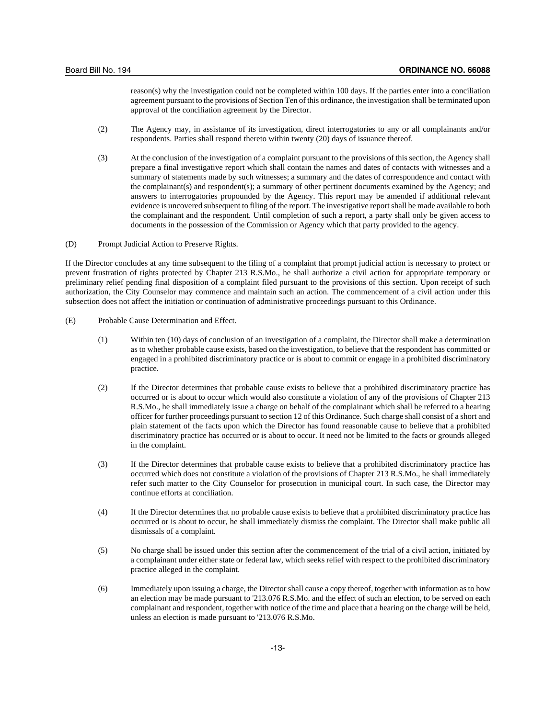reason(s) why the investigation could not be completed within 100 days. If the parties enter into a conciliation agreement pursuant to the provisions of Section Ten of this ordinance, the investigation shall be terminated upon approval of the conciliation agreement by the Director.

- (2) The Agency may, in assistance of its investigation, direct interrogatories to any or all complainants and/or respondents. Parties shall respond thereto within twenty (20) days of issuance thereof.
- (3) At the conclusion of the investigation of a complaint pursuant to the provisions of this section, the Agency shall prepare a final investigative report which shall contain the names and dates of contacts with witnesses and a summary of statements made by such witnesses; a summary and the dates of correspondence and contact with the complainant(s) and respondent(s); a summary of other pertinent documents examined by the Agency; and answers to interrogatories propounded by the Agency. This report may be amended if additional relevant evidence is uncovered subsequent to filing of the report. The investigative report shall be made available to both the complainant and the respondent. Until completion of such a report, a party shall only be given access to documents in the possession of the Commission or Agency which that party provided to the agency.

(D) Prompt Judicial Action to Preserve Rights.

If the Director concludes at any time subsequent to the filing of a complaint that prompt judicial action is necessary to protect or prevent frustration of rights protected by Chapter 213 R.S.Mo., he shall authorize a civil action for appropriate temporary or preliminary relief pending final disposition of a complaint filed pursuant to the provisions of this section. Upon receipt of such authorization, the City Counselor may commence and maintain such an action. The commencement of a civil action under this subsection does not affect the initiation or continuation of administrative proceedings pursuant to this Ordinance.

- (E) Probable Cause Determination and Effect.
	- (1) Within ten (10) days of conclusion of an investigation of a complaint, the Director shall make a determination as to whether probable cause exists, based on the investigation, to believe that the respondent has committed or engaged in a prohibited discriminatory practice or is about to commit or engage in a prohibited discriminatory practice.
	- (2) If the Director determines that probable cause exists to believe that a prohibited discriminatory practice has occurred or is about to occur which would also constitute a violation of any of the provisions of Chapter 213 R.S.Mo., he shall immediately issue a charge on behalf of the complainant which shall be referred to a hearing officer for further proceedings pursuant to section 12 of this Ordinance. Such charge shall consist of a short and plain statement of the facts upon which the Director has found reasonable cause to believe that a prohibited discriminatory practice has occurred or is about to occur. It need not be limited to the facts or grounds alleged in the complaint.
	- (3) If the Director determines that probable cause exists to believe that a prohibited discriminatory practice has occurred which does not constitute a violation of the provisions of Chapter 213 R.S.Mo., he shall immediately refer such matter to the City Counselor for prosecution in municipal court. In such case, the Director may continue efforts at conciliation.
	- (4) If the Director determines that no probable cause exists to believe that a prohibited discriminatory practice has occurred or is about to occur, he shall immediately dismiss the complaint. The Director shall make public all dismissals of a complaint.
	- (5) No charge shall be issued under this section after the commencement of the trial of a civil action, initiated by a complainant under either state or federal law, which seeks relief with respect to the prohibited discriminatory practice alleged in the complaint.
	- (6) Immediately upon issuing a charge, the Director shall cause a copy thereof, together with information as to how an election may be made pursuant to '213.076 R.S.Mo. and the effect of such an election, to be served on each complainant and respondent, together with notice of the time and place that a hearing on the charge will be held, unless an election is made pursuant to '213.076 R.S.Mo.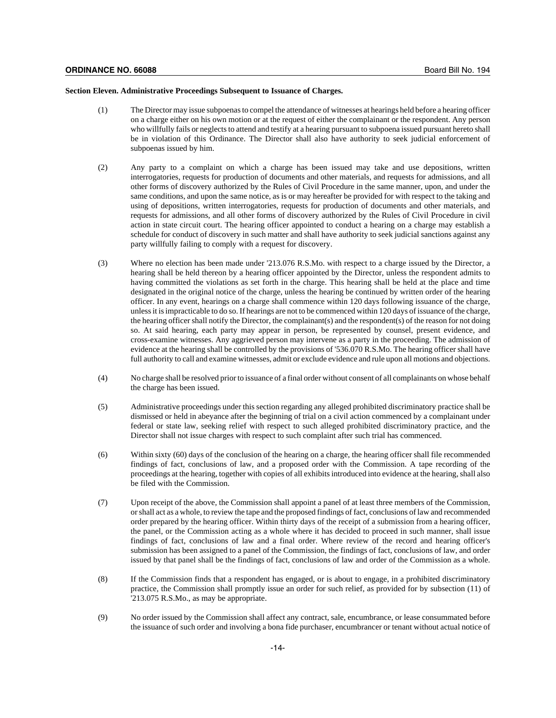### **Section Eleven. Administrative Proceedings Subsequent to Issuance of Charges.**

- (1) The Director may issue subpoenas to compel the attendance of witnesses at hearings held before a hearing officer on a charge either on his own motion or at the request of either the complainant or the respondent. Any person who willfully fails or neglects to attend and testify at a hearing pursuant to subpoena issued pursuant hereto shall be in violation of this Ordinance. The Director shall also have authority to seek judicial enforcement of subpoenas issued by him.
- (2) Any party to a complaint on which a charge has been issued may take and use depositions, written interrogatories, requests for production of documents and other materials, and requests for admissions, and all other forms of discovery authorized by the Rules of Civil Procedure in the same manner, upon, and under the same conditions, and upon the same notice, as is or may hereafter be provided for with respect to the taking and using of depositions, written interrogatories, requests for production of documents and other materials, and requests for admissions, and all other forms of discovery authorized by the Rules of Civil Procedure in civil action in state circuit court. The hearing officer appointed to conduct a hearing on a charge may establish a schedule for conduct of discovery in such matter and shall have authority to seek judicial sanctions against any party willfully failing to comply with a request for discovery.
- (3) Where no election has been made under '213.076 R.S.Mo. with respect to a charge issued by the Director, a hearing shall be held thereon by a hearing officer appointed by the Director, unless the respondent admits to having committed the violations as set forth in the charge. This hearing shall be held at the place and time designated in the original notice of the charge, unless the hearing be continued by written order of the hearing officer. In any event, hearings on a charge shall commence within 120 days following issuance of the charge, unless it is impracticable to do so. If hearings are not to be commenced within 120 days of issuance of the charge, the hearing officer shall notify the Director, the complainant(s) and the respondent(s) of the reason for not doing so. At said hearing, each party may appear in person, be represented by counsel, present evidence, and cross-examine witnesses. Any aggrieved person may intervene as a party in the proceeding. The admission of evidence at the hearing shall be controlled by the provisions of '536.070 R.S.Mo. The hearing officer shall have full authority to call and examine witnesses, admit or exclude evidence and rule upon all motions and objections.
- (4) No charge shall be resolved prior to issuance of a final order without consent of all complainants on whose behalf the charge has been issued.
- (5) Administrative proceedings under this section regarding any alleged prohibited discriminatory practice shall be dismissed or held in abeyance after the beginning of trial on a civil action commenced by a complainant under federal or state law, seeking relief with respect to such alleged prohibited discriminatory practice, and the Director shall not issue charges with respect to such complaint after such trial has commenced.
- (6) Within sixty (60) days of the conclusion of the hearing on a charge, the hearing officer shall file recommended findings of fact, conclusions of law, and a proposed order with the Commission. A tape recording of the proceedings at the hearing, together with copies of all exhibits introduced into evidence at the hearing, shall also be filed with the Commission.
- (7) Upon receipt of the above, the Commission shall appoint a panel of at least three members of the Commission, or shall act as a whole, to review the tape and the proposed findings of fact, conclusions of law and recommended order prepared by the hearing officer. Within thirty days of the receipt of a submission from a hearing officer, the panel, or the Commission acting as a whole where it has decided to proceed in such manner, shall issue findings of fact, conclusions of law and a final order. Where review of the record and hearing officer's submission has been assigned to a panel of the Commission, the findings of fact, conclusions of law, and order issued by that panel shall be the findings of fact, conclusions of law and order of the Commission as a whole.
- (8) If the Commission finds that a respondent has engaged, or is about to engage, in a prohibited discriminatory practice, the Commission shall promptly issue an order for such relief, as provided for by subsection (11) of '213.075 R.S.Mo., as may be appropriate.
- (9) No order issued by the Commission shall affect any contract, sale, encumbrance, or lease consummated before the issuance of such order and involving a bona fide purchaser, encumbrancer or tenant without actual notice of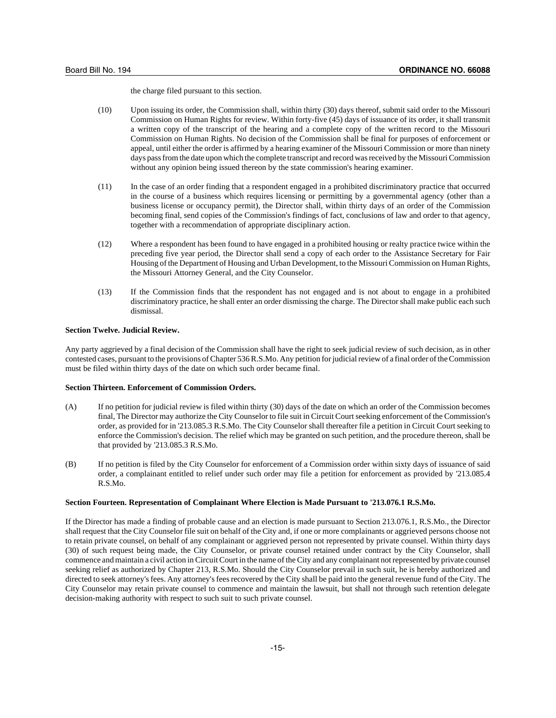the charge filed pursuant to this section.

- (10) Upon issuing its order, the Commission shall, within thirty (30) days thereof, submit said order to the Missouri Commission on Human Rights for review. Within forty-five (45) days of issuance of its order, it shall transmit a written copy of the transcript of the hearing and a complete copy of the written record to the Missouri Commission on Human Rights. No decision of the Commission shall be final for purposes of enforcement or appeal, until either the order is affirmed by a hearing examiner of the Missouri Commission or more than ninety days pass from the date upon which the complete transcript and record was received by the Missouri Commission without any opinion being issued thereon by the state commission's hearing examiner.
- (11) In the case of an order finding that a respondent engaged in a prohibited discriminatory practice that occurred in the course of a business which requires licensing or permitting by a governmental agency (other than a business license or occupancy permit), the Director shall, within thirty days of an order of the Commission becoming final, send copies of the Commission's findings of fact, conclusions of law and order to that agency, together with a recommendation of appropriate disciplinary action.
- (12) Where a respondent has been found to have engaged in a prohibited housing or realty practice twice within the preceding five year period, the Director shall send a copy of each order to the Assistance Secretary for Fair Housing of the Department of Housing and Urban Development, to the Missouri Commission on Human Rights, the Missouri Attorney General, and the City Counselor.
- (13) If the Commission finds that the respondent has not engaged and is not about to engage in a prohibited discriminatory practice, he shall enter an order dismissing the charge. The Director shall make public each such dismissal.

### **Section Twelve. Judicial Review.**

Any party aggrieved by a final decision of the Commission shall have the right to seek judicial review of such decision, as in other contested cases, pursuant to the provisions of Chapter 536 R.S.Mo. Any petition for judicial review of a final order of the Commission must be filed within thirty days of the date on which such order became final.

### **Section Thirteen. Enforcement of Commission Orders.**

- (A) If no petition for judicial review is filed within thirty (30) days of the date on which an order of the Commission becomes final, The Director may authorize the City Counselor to file suit in Circuit Court seeking enforcement of the Commission's order, as provided for in '213.085.3 R.S.Mo. The City Counselor shall thereafter file a petition in Circuit Court seeking to enforce the Commission's decision. The relief which may be granted on such petition, and the procedure thereon, shall be that provided by '213.085.3 R.S.Mo.
- (B) If no petition is filed by the City Counselor for enforcement of a Commission order within sixty days of issuance of said order, a complainant entitled to relief under such order may file a petition for enforcement as provided by '213.085.4 R.S.Mo.

### **Section Fourteen. Representation of Complainant Where Election is Made Pursuant to '213.076.1 R.S.Mo.**

If the Director has made a finding of probable cause and an election is made pursuant to Section 213.076.1, R.S.Mo., the Director shall request that the City Counselor file suit on behalf of the City and, if one or more complainants or aggrieved persons choose not to retain private counsel, on behalf of any complainant or aggrieved person not represented by private counsel. Within thirty days (30) of such request being made, the City Counselor, or private counsel retained under contract by the City Counselor, shall commence and maintain a civil action in Circuit Court in the name of the City and any complainant not represented by private counsel seeking relief as authorized by Chapter 213, R.S.Mo. Should the City Counselor prevail in such suit, he is hereby authorized and directed to seek attorney's fees. Any attorney's fees recovered by the City shall be paid into the general revenue fund of the City. The City Counselor may retain private counsel to commence and maintain the lawsuit, but shall not through such retention delegate decision-making authority with respect to such suit to such private counsel.